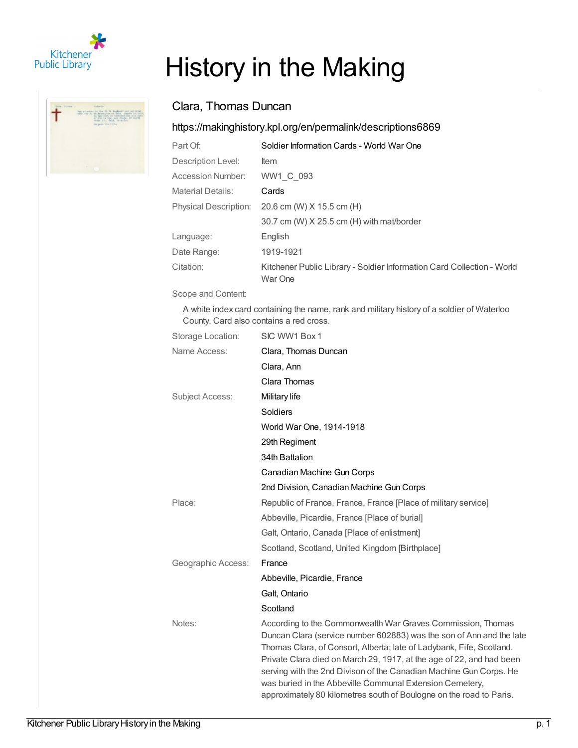

# History in the Making

## Clara, Thomas Duncan

## <https://makinghistory.kpl.org/en/permalink/descriptions6869>

| Part Of:                     | Soldier Information Cards - World War One                                         |
|------------------------------|-----------------------------------------------------------------------------------|
| Description Level:           | ltem                                                                              |
| Accession Number:            | WW1 C 093                                                                         |
| <b>Material Details:</b>     | Cards                                                                             |
| <b>Physical Description:</b> | 20.6 cm (W) X 15.5 cm (H)                                                         |
|                              | 30.7 cm (W) X 25.5 cm (H) with mat/border                                         |
| Language:                    | English                                                                           |
| Date Range:                  | 1919-1921                                                                         |
| Citation:                    | Kitchener Public Library - Soldier Information Card Collection - World<br>War One |

Scope and Content:

A white index card containing the name, rank and military history of a soldier of Waterloo County. Card also contains a red cross.

| Storage Location:      | SIC WW1 Box 1                                                                                                                                                                                                                                                                                                                                                                                                                                                                                |
|------------------------|----------------------------------------------------------------------------------------------------------------------------------------------------------------------------------------------------------------------------------------------------------------------------------------------------------------------------------------------------------------------------------------------------------------------------------------------------------------------------------------------|
| Name Access:           | Clara, Thomas Duncan                                                                                                                                                                                                                                                                                                                                                                                                                                                                         |
|                        | Clara, Ann                                                                                                                                                                                                                                                                                                                                                                                                                                                                                   |
|                        | Clara Thomas                                                                                                                                                                                                                                                                                                                                                                                                                                                                                 |
| <b>Subject Access:</b> | Military life                                                                                                                                                                                                                                                                                                                                                                                                                                                                                |
|                        | Soldiers                                                                                                                                                                                                                                                                                                                                                                                                                                                                                     |
|                        | World War One, 1914-1918                                                                                                                                                                                                                                                                                                                                                                                                                                                                     |
|                        | 29th Regiment                                                                                                                                                                                                                                                                                                                                                                                                                                                                                |
|                        | 34th Battalion                                                                                                                                                                                                                                                                                                                                                                                                                                                                               |
|                        | Canadian Machine Gun Corps                                                                                                                                                                                                                                                                                                                                                                                                                                                                   |
|                        | 2nd Division, Canadian Machine Gun Corps                                                                                                                                                                                                                                                                                                                                                                                                                                                     |
| Place:                 | Republic of France, France, France [Place of military service]                                                                                                                                                                                                                                                                                                                                                                                                                               |
|                        | Abbeville, Picardie, France [Place of burial]                                                                                                                                                                                                                                                                                                                                                                                                                                                |
|                        | Galt, Ontario, Canada [Place of enlistment]                                                                                                                                                                                                                                                                                                                                                                                                                                                  |
|                        | Scotland, Scotland, United Kingdom [Birthplace]                                                                                                                                                                                                                                                                                                                                                                                                                                              |
| Geographic Access:     | France                                                                                                                                                                                                                                                                                                                                                                                                                                                                                       |
|                        | Abbeville, Picardie, France                                                                                                                                                                                                                                                                                                                                                                                                                                                                  |
|                        | Galt, Ontario                                                                                                                                                                                                                                                                                                                                                                                                                                                                                |
|                        | Scotland                                                                                                                                                                                                                                                                                                                                                                                                                                                                                     |
| Notes:                 | According to the Commonwealth War Graves Commission, Thomas<br>Duncan Clara (service number 602883) was the son of Ann and the late<br>Thomas Clara, of Consort, Alberta; late of Ladybank, Fife, Scotland.<br>Private Clara died on March 29, 1917, at the age of 22, and had been<br>serving with the 2nd Divison of the Canadian Machine Gun Corps. He<br>was buried in the Abbeville Communal Extension Cemetery,<br>approximately 80 kilometres south of Boulogne on the road to Paris. |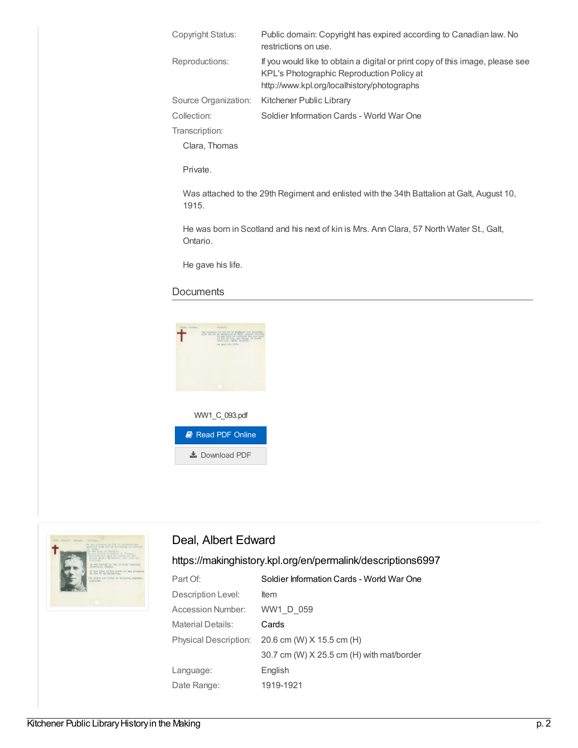| Copyright Status:    | Public domain: Copyright has expired according to Canadian law. No<br>restrictions on use.                                                                                |
|----------------------|---------------------------------------------------------------------------------------------------------------------------------------------------------------------------|
| Reproductions:       | If you would like to obtain a digital or print copy of this image, please see<br>KPL's Photographic Reproduction Policy at<br>http://www.kpl.org/localhistory/photographs |
| Source Organization: | Kitchener Public Library                                                                                                                                                  |
| Collection:          | Soldier Information Cards - World War One                                                                                                                                 |
| Transcription:       |                                                                                                                                                                           |
| Clara, Thomas        |                                                                                                                                                                           |

Private.

Was attached to the 29th Regiment and enlisted with the 34th Battalion at Galt, August 10, 1915.

He was born in Scotland and his next of kin is Mrs. Ann Clara, 57 North Water St., Galt, Ontario.

He gave his life.

### **Documents**





## Deal, Albert Edward

## <https://makinghistory.kpl.org/en/permalink/descriptions6997>

| Part Of:                     | Soldier Information Cards - World War One |
|------------------------------|-------------------------------------------|
| Description Level:           | <b>Item</b>                               |
| Accession Number:            | WW1 D 059                                 |
| Material Details:            | Cards                                     |
| <b>Physical Description:</b> | 20.6 cm (W) X 15.5 cm (H)                 |
|                              | 30.7 cm (W) X 25.5 cm (H) with mat/border |
| Language:                    | English                                   |
| Date Range:                  | 1919-1921                                 |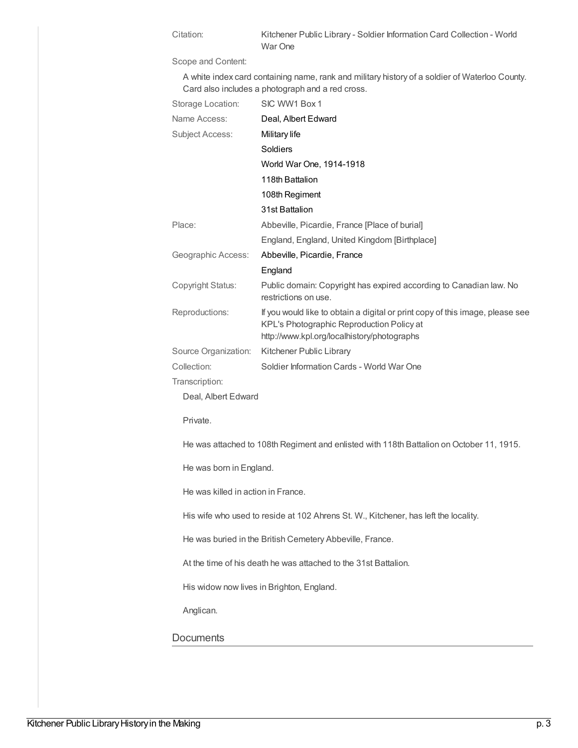Citation: Kitchener Public Library - Soldier Information Card Collection - World War One

Scope and Content:

A white index card containing name, rank and military history of a soldier of Waterloo County. Card also includes a photograph and a red cross.

| Storage Location:      | SIC WW1 Box 1                                                                                                                                                             |
|------------------------|---------------------------------------------------------------------------------------------------------------------------------------------------------------------------|
| Name Access:           | Deal, Albert Edward                                                                                                                                                       |
| <b>Subject Access:</b> | Military life                                                                                                                                                             |
|                        | Soldiers                                                                                                                                                                  |
|                        | World War One, 1914-1918                                                                                                                                                  |
|                        | 118th Battalion                                                                                                                                                           |
|                        | 108th Regiment                                                                                                                                                            |
|                        | 31st Battalion                                                                                                                                                            |
| Place:                 | Abbeville, Picardie, France [Place of burial]                                                                                                                             |
|                        | England, England, United Kingdom [Birthplace]                                                                                                                             |
| Geographic Access:     | Abbeville, Picardie, France                                                                                                                                               |
|                        | England                                                                                                                                                                   |
| Copyright Status:      | Public domain: Copyright has expired according to Canadian law. No<br>restrictions on use.                                                                                |
| Reproductions:         | If you would like to obtain a digital or print copy of this image, please see<br>KPL's Photographic Reproduction Policy at<br>http://www.kpl.org/localhistory/photographs |
| Source Organization:   | Kitchener Public Library                                                                                                                                                  |
| Collection:            | Soldier Information Cards - World War One                                                                                                                                 |
| Transcription:         |                                                                                                                                                                           |
| Deal, Albert Edward    |                                                                                                                                                                           |

Private.

He was attached to 108th Regiment and enlisted with 118th Battalion on October 11, 1915.

He was born in England.

He was killed in action in France.

His wife who used to reside at 102 Ahrens St. W., Kitchener, has left the locality.

He was buried in the British Cemetery Abbeville, France.

At the time of his death he was attached to the 31st Battalion.

His widow now lives in Brighton, England.

Anglican.

#### **Documents**